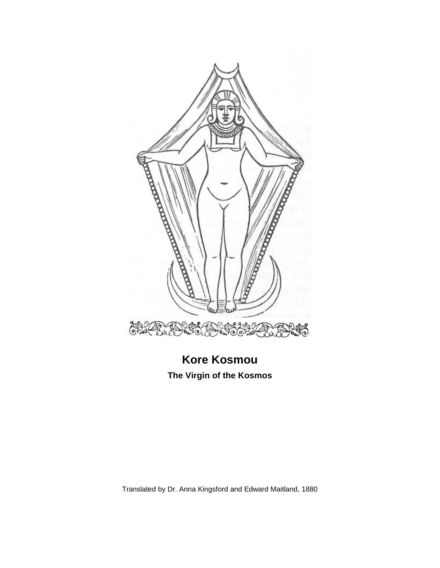

**Kore Kosmou The Virgin of the Kosmos**

Translated by Dr. Anna Kingsford and Edward Maitland, 1880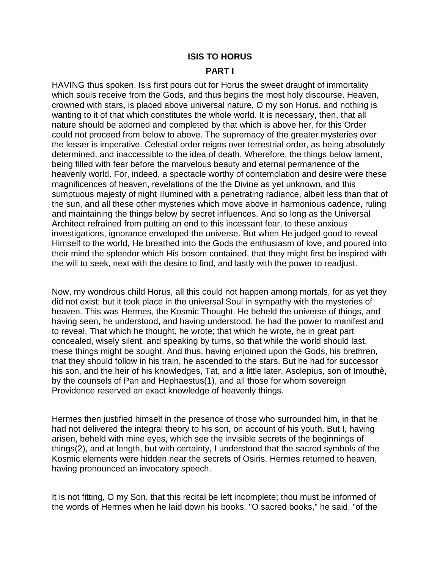# **ISIS TO HORUS**

# **PART I**

HAVING thus spoken, Isis first pours out for Horus the sweet draught of immortality which souls receive from the Gods, and thus begins the most holy discourse. Heaven, crowned with stars, is placed above universal nature, O my son Horus, and nothing is wanting to it of that which constitutes the whole world. It is necessary, then, that all nature should be adorned and completed by that which is above her, for this Order could not proceed from below to above. The supremacy of the greater mysteries over the lesser is imperative. Celestial order reigns over terrestrial order, as being absolutely determined, and inaccessible to the idea of death. Wherefore, the things below lament, being filled with fear before the marvelous beauty and eternal permanence of the heavenly world. For, indeed, a spectacle worthy of contemplation and desire were these magnificences of heaven, revelations of the the Divine as yet unknown, and this sumptuous majesty of night illumined with a penetrating radiance, albeit less than that of the sun, and all these other mysteries which move above in harmonious cadence, ruling and maintaining the things below by secret influences. And so long as the Universal Architect refrained from putting an end to this incessant fear, to these anxious investigations, ignorance enveloped the universe. But when He judged good to reveal Himself to the world, He breathed into the Gods the enthusiasm of love, and poured into their mind the splendor which His bosom contained, that they might first be inspired with the will to seek, next with the desire to find, and lastly with the power to readjust.

Now, my wondrous child Horus, all this could not happen among mortals, for as yet they did not exist; but it took place in the universal Soul in sympathy with the mysteries of heaven. This was Hermes, the Kosmic Thought. He beheld the universe of things, and having seen, he understood, and having understood, he had the power to manifest and to reveal. That which he thought, he wrote; that which he wrote, he in great part concealed, wisely silent. and speaking by turns, so that while the world should last, these things might be sought. And thus, having enjoined upon the Gods, his brethren, that they should follow in his train, he ascended to the stars. But he had for successor his son, and the heir of his knowledges, Tat, and a little later, Asclepius, son of Imouthè, by the counsels of Pan and Hephaestus(1), and all those for whom sovereign Providence reserved an exact knowledge of heavenly things.

Hermes then justified himself in the presence of those who surrounded him, in that he had not delivered the integral theory to his son, on account of his youth. But I, having arisen, beheld with mine eyes, which see the invisible secrets of the beginnings of things(2), and at length, but with certainty, I understood that the sacred symbols of the Kosmic elements were hidden near the secrets of Osiris. Hermes returned to heaven, having pronounced an invocatory speech.

It is not fitting, O my Son, that this recital be left incomplete; thou must be informed of the words of Hermes when he laid down his books. "O sacred books," he said, "of the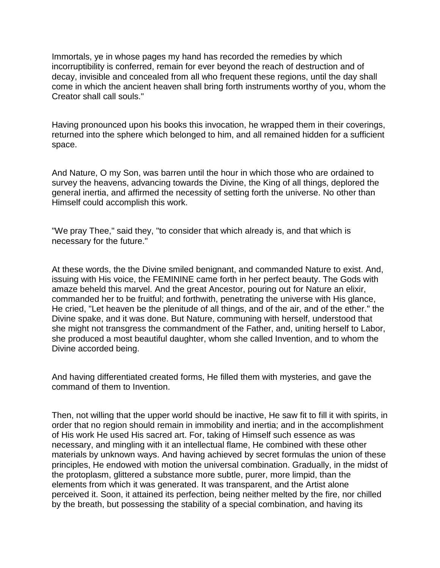Immortals, ye in whose pages my hand has recorded the remedies by which incorruptibility is conferred, remain for ever beyond the reach of destruction and of decay, invisible and concealed from all who frequent these regions, until the day shall come in which the ancient heaven shall bring forth instruments worthy of you, whom the Creator shall call souls."

Having pronounced upon his books this invocation, he wrapped them in their coverings, returned into the sphere which belonged to him, and all remained hidden for a sufficient space.

And Nature, O my Son, was barren until the hour in which those who are ordained to survey the heavens, advancing towards the Divine, the King of all things, deplored the general inertia, and affirmed the necessity of setting forth the universe. No other than Himself could accomplish this work.

"We pray Thee," said they, "to consider that which already is, and that which is necessary for the future."

At these words, the the Divine smiled benignant, and commanded Nature to exist. And, issuing with His voice, the FEMININE came forth in her perfect beauty. The Gods with amaze beheld this marvel. And the great Ancestor, pouring out for Nature an elixir, commanded her to be fruitful; and forthwith, penetrating the universe with His glance, He cried, "Let heaven be the plenitude of all things, and of the air, and of the ether." the Divine spake, and it was done. But Nature, communing with herself, understood that she might not transgress the commandment of the Father, and, uniting herself to Labor, she produced a most beautiful daughter, whom she called Invention, and to whom the Divine accorded being.

And having differentiated created forms, He filled them with mysteries, and gave the command of them to Invention.

Then, not willing that the upper world should be inactive, He saw fit to fill it with spirits, in order that no region should remain in immobility and inertia; and in the accomplishment of His work He used His sacred art. For, taking of Himself such essence as was necessary, and mingling with it an intellectual flame, He combined with these other materials by unknown ways. And having achieved by secret formulas the union of these principles, He endowed with motion the universal combination. Gradually, in the midst of the protoplasm, glittered a substance more subtle, purer, more limpid, than the elements from which it was generated. It was transparent, and the Artist alone perceived it. Soon, it attained its perfection, being neither melted by the fire, nor chilled by the breath, but possessing the stability of a special combination, and having its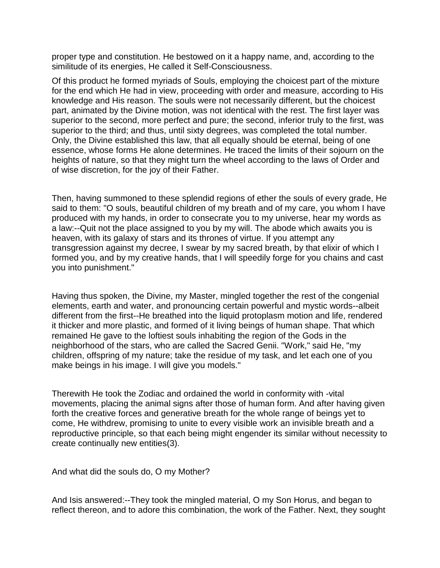proper type and constitution. He bestowed on it a happy name, and, according to the similitude of its energies, He called it Self-Consciousness.

Of this product he formed myriads of Souls, employing the choicest part of the mixture for the end which He had in view, proceeding with order and measure, according to His knowledge and His reason. The souls were not necessarily different, but the choicest part, animated by the Divine motion, was not identical with the rest. The first layer was superior to the second, more perfect and pure; the second, inferior truly to the first, was superior to the third; and thus, until sixty degrees, was completed the total number. Only, the Divine established this law, that all equally should be eternal, being of one essence, whose forms He alone determines. He traced the limits of their sojourn on the heights of nature, so that they might turn the wheel according to the laws of Order and of wise discretion, for the joy of their Father.

Then, having summoned to these splendid regions of ether the souls of every grade, He said to them: "O souls, beautiful children of my breath and of my care, you whom I have produced with my hands, in order to consecrate you to my universe, hear my words as a law:--Quit not the place assigned to you by my will. The abode which awaits you is heaven, with its galaxy of stars and its thrones of virtue. If you attempt any transgression against my decree, I swear by my sacred breath, by that elixir of which I formed you, and by my creative hands, that I will speedily forge for you chains and cast you into punishment."

Having thus spoken, the Divine, my Master, mingled together the rest of the congenial elements, earth and water, and pronouncing certain powerful and mystic words--albeit different from the first--He breathed into the liquid protoplasm motion and life, rendered it thicker and more plastic, and formed of it living beings of human shape. That which remained He gave to the loftiest souls inhabiting the region of the Gods in the neighborhood of the stars, who are called the Sacred Genii. "Work," said He, "my children, offspring of my nature; take the residue of my task, and let each one of you make beings in his image. I will give you models."

Therewith He took the Zodiac and ordained the world in conformity with -vital movements, placing the animal signs after those of human form. And after having given forth the creative forces and generative breath for the whole range of beings yet to come, He withdrew, promising to unite to every visible work an invisible breath and a reproductive principle, so that each being might engender its similar without necessity to create continually new entities(3).

And what did the souls do, O my Mother?

And Isis answered:--They took the mingled material, O my Son Horus, and began to reflect thereon, and to adore this combination, the work of the Father. Next, they sought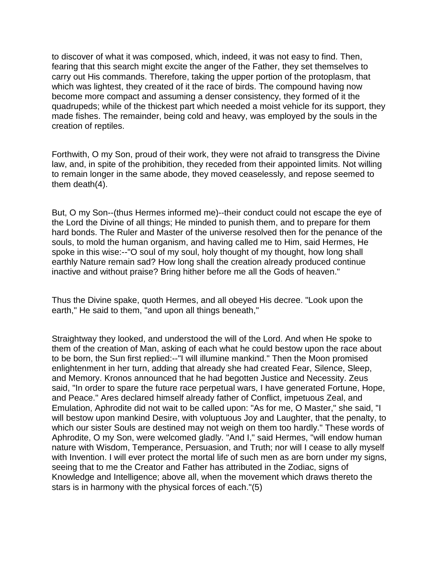to discover of what it was composed, which, indeed, it was not easy to find. Then, fearing that this search might excite the anger of the Father, they set themselves to carry out His commands. Therefore, taking the upper portion of the protoplasm, that which was lightest, they created of it the race of birds. The compound having now become more compact and assuming a denser consistency, they formed of it the quadrupeds; while of the thickest part which needed a moist vehicle for its support, they made fishes. The remainder, being cold and heavy, was employed by the souls in the creation of reptiles.

Forthwith, O my Son, proud of their work, they were not afraid to transgress the Divine law, and, in spite of the prohibition, they receded from their appointed limits. Not willing to remain longer in the same abode, they moved ceaselessly, and repose seemed to them death(4).

But, O my Son--(thus Hermes informed me)--their conduct could not escape the eye of the Lord the Divine of all things; He minded to punish them, and to prepare for them hard bonds. The Ruler and Master of the universe resolved then for the penance of the souls, to mold the human organism, and having called me to Him, said Hermes, He spoke in this wise:--"O soul of my soul, holy thought of my thought, how long shall earthly Nature remain sad? How long shall the creation already produced continue inactive and without praise? Bring hither before me all the Gods of heaven."

Thus the Divine spake, quoth Hermes, and all obeyed His decree. "Look upon the earth," He said to them, "and upon all things beneath,"

Straightway they looked, and understood the will of the Lord. And when He spoke to them of the creation of Man, asking of each what he could bestow upon the race about to be born, the Sun first replied:--"I will illumine mankind." Then the Moon promised enlightenment in her turn, adding that already she had created Fear, Silence, Sleep, and Memory. Kronos announced that he had begotten Justice and Necessity. Zeus said, "In order to spare the future race perpetual wars, I have generated Fortune, Hope, and Peace." Ares declared himself already father of Conflict, impetuous Zeal, and Emulation, Aphrodite did not wait to be called upon: "As for me, O Master," she said, "I will bestow upon mankind Desire, with voluptuous Joy and Laughter, that the penalty, to which our sister Souls are destined may not weigh on them too hardly." These words of Aphrodite, O my Son, were welcomed gladly. "And I," said Hermes, "will endow human nature with Wisdom, Temperance, Persuasion, and Truth; nor will I cease to ally myself with Invention. I will ever protect the mortal life of such men as are born under my signs, seeing that to me the Creator and Father has attributed in the Zodiac, signs of Knowledge and Intelligence; above all, when the movement which draws thereto the stars is in harmony with the physical forces of each."(5)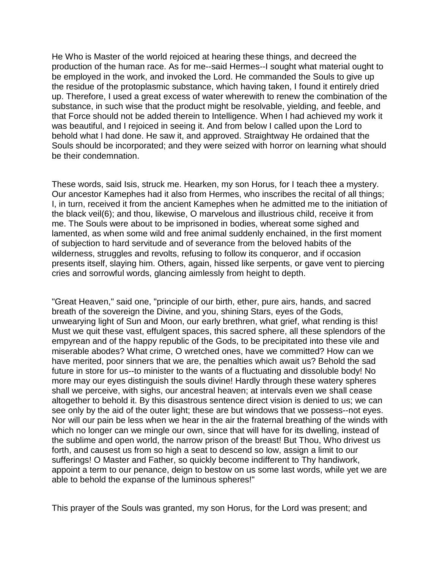He Who is Master of the world rejoiced at hearing these things, and decreed the production of the human race. As for me--said Hermes--I sought what material ought to be employed in the work, and invoked the Lord. He commanded the Souls to give up the residue of the protoplasmic substance, which having taken, I found it entirely dried up. Therefore, I used a great excess of water wherewith to renew the combination of the substance, in such wise that the product might be resolvable, yielding, and feeble, and that Force should not be added therein to Intelligence. When I had achieved my work it was beautiful, and I rejoiced in seeing it. And from below I called upon the Lord to behold what I had done. He saw it, and approved. Straightway He ordained that the Souls should be incorporated; and they were seized with horror on learning what should be their condemnation.

These words, said Isis, struck me. Hearken, my son Horus, for I teach thee a mystery. Our ancestor Kamephes had it also from Hermes, who inscribes the recital of all things; I, in turn, received it from the ancient Kamephes when he admitted me to the initiation of the black veil(6); and thou, likewise, O marvelous and illustrious child, receive it from me. The Souls were about to be imprisoned in bodies, whereat some sighed and lamented, as when some wild and free animal suddenly enchained, in the first moment of subjection to hard servitude and of severance from the beloved habits of the wilderness, struggles and revolts, refusing to follow its conqueror, and if occasion presents itself, slaying him. Others, again, hissed like serpents, or gave vent to piercing cries and sorrowful words, glancing aimlessly from height to depth.

"Great Heaven," said one, "principle of our birth, ether, pure airs, hands, and sacred breath of the sovereign the Divine, and you, shining Stars, eyes of the Gods, unwearying light of Sun and Moon, our early brethren, what grief, what rending is this! Must we quit these vast, effulgent spaces, this sacred sphere, all these splendors of the empyrean and of the happy republic of the Gods, to be precipitated into these vile and miserable abodes? What crime, O wretched ones, have we committed? How can we have merited, poor sinners that we are, the penalties which await us? Behold the sad future in store for us--to minister to the wants of a fluctuating and dissoluble body! No more may our eyes distinguish the souls divine! Hardly through these watery spheres shall we perceive, with sighs, our ancestral heaven; at intervals even we shall cease altogether to behold it. By this disastrous sentence direct vision is denied to us; we can see only by the aid of the outer light; these are but windows that we possess--not eyes. Nor will our pain be less when we hear in the air the fraternal breathing of the winds with which no longer can we mingle our own, since that will have for its dwelling, instead of the sublime and open world, the narrow prison of the breast! But Thou, Who drivest us forth, and causest us from so high a seat to descend so low, assign a limit to our sufferings! O Master and Father, so quickly become indifferent to Thy handiwork, appoint a term to our penance, deign to bestow on us some last words, while yet we are able to behold the expanse of the luminous spheres!"

This prayer of the Souls was granted, my son Horus, for the Lord was present; and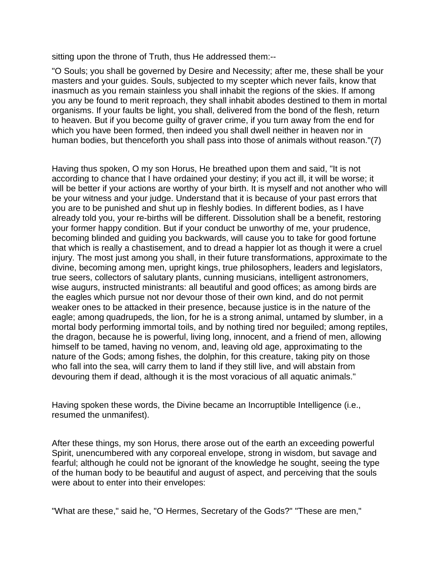sitting upon the throne of Truth, thus He addressed them:--

"O Souls; you shall be governed by Desire and Necessity; after me, these shall be your masters and your guides. Souls, subjected to my scepter which never fails, know that inasmuch as you remain stainless you shall inhabit the regions of the skies. If among you any be found to merit reproach, they shall inhabit abodes destined to them in mortal organisms. If your faults be light, you shall, delivered from the bond of the flesh, return to heaven. But if you become guilty of graver crime, if you turn away from the end for which you have been formed, then indeed you shall dwell neither in heaven nor in human bodies, but thenceforth you shall pass into those of animals without reason."(7)

Having thus spoken, O my son Horus, He breathed upon them and said, "It is not according to chance that I have ordained your destiny; if you act ill, it will be worse; it will be better if your actions are worthy of your birth. It is myself and not another who will be your witness and your judge. Understand that it is because of your past errors that you are to be punished and shut up in fleshly bodies. In different bodies, as I have already told you, your re-births will be different. Dissolution shall be a benefit, restoring your former happy condition. But if your conduct be unworthy of me, your prudence, becoming blinded and guiding you backwards, will cause you to take for good fortune that which is really a chastisement, and to dread a happier lot as though it were a cruel injury. The most just among you shall, in their future transformations, approximate to the divine, becoming among men, upright kings, true philosophers, leaders and legislators, true seers, collectors of salutary plants, cunning musicians, intelligent astronomers, wise augurs, instructed ministrants: all beautiful and good offices; as among birds are the eagles which pursue not nor devour those of their own kind, and do not permit weaker ones to be attacked in their presence, because justice is in the nature of the eagle; among quadrupeds, the lion, for he is a strong animal, untamed by slumber, in a mortal body performing immortal toils, and by nothing tired nor beguiled; among reptiles, the dragon, because he is powerful, living long, innocent, and a friend of men, allowing himself to be tamed, having no venom, and, leaving old age, approximating to the nature of the Gods; among fishes, the dolphin, for this creature, taking pity on those who fall into the sea, will carry them to land if they still live, and will abstain from devouring them if dead, although it is the most voracious of all aquatic animals."

Having spoken these words, the Divine became an Incorruptible Intelligence (i.e., resumed the unmanifest).

After these things, my son Horus, there arose out of the earth an exceeding powerful Spirit, unencumbered with any corporeal envelope, strong in wisdom, but savage and fearful; although he could not be ignorant of the knowledge he sought, seeing the type of the human body to be beautiful and august of aspect, and perceiving that the souls were about to enter into their envelopes:

"What are these," said he, "O Hermes, Secretary of the Gods?" "These are men,"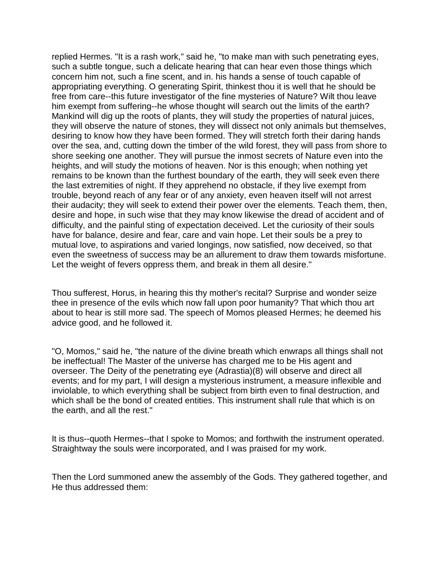replied Hermes. "It is a rash work," said he, "to make man with such penetrating eyes, such a subtle tongue, such a delicate hearing that can hear even those things which concern him not, such a fine scent, and in. his hands a sense of touch capable of appropriating everything. O generating Spirit, thinkest thou it is well that he should be free from care--this future investigator of the fine mysteries of Nature? Wilt thou leave him exempt from suffering--he whose thought will search out the limits of the earth? Mankind will dig up the roots of plants, they will study the properties of natural juices, they will observe the nature of stones, they will dissect not only animals but themselves, desiring to know how they have been formed. They will stretch forth their daring hands over the sea, and, cutting down the timber of the wild forest, they will pass from shore to shore seeking one another. They will pursue the inmost secrets of Nature even into the heights, and will study the motions of heaven. Nor is this enough; when nothing yet remains to be known than the furthest boundary of the earth, they will seek even there the last extremities of night. If they apprehend no obstacle, if they live exempt from trouble, beyond reach of any fear or of any anxiety, even heaven itself will not arrest their audacity; they will seek to extend their power over the elements. Teach them, then, desire and hope, in such wise that they may know likewise the dread of accident and of difficulty, and the painful sting of expectation deceived. Let the curiosity of their souls have for balance, desire and fear, care and vain hope. Let their souls be a prey to mutual love, to aspirations and varied longings, now satisfied, now deceived, so that even the sweetness of success may be an allurement to draw them towards misfortune. Let the weight of fevers oppress them, and break in them all desire."

Thou sufferest, Horus, in hearing this thy mother's recital? Surprise and wonder seize thee in presence of the evils which now fall upon poor humanity? That which thou art about to hear is still more sad. The speech of Momos pleased Hermes; he deemed his advice good, and he followed it.

"O, Momos," said he, "the nature of the divine breath which enwraps all things shall not be ineffectual! The Master of the universe has charged me to be His agent and overseer. The Deity of the penetrating eye (Adrastia)(8) will observe and direct all events; and for my part, I will design a mysterious instrument, a measure inflexible and inviolable, to which everything shall be subject from birth even to final destruction, and which shall be the bond of created entities. This instrument shall rule that which is on the earth, and all the rest."

It is thus--quoth Hermes--that I spoke to Momos; and forthwith the instrument operated. Straightway the souls were incorporated, and I was praised for my work.

Then the Lord summoned anew the assembly of the Gods. They gathered together, and He thus addressed them: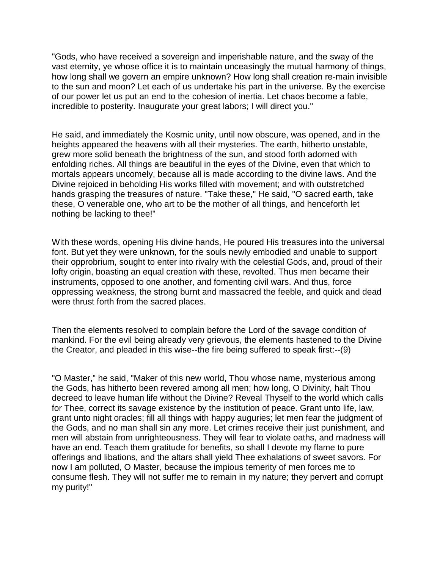"Gods, who have received a sovereign and imperishable nature, and the sway of the vast eternity, ye whose office it is to maintain unceasingly the mutual harmony of things, how long shall we govern an empire unknown? How long shall creation re-main invisible to the sun and moon? Let each of us undertake his part in the universe. By the exercise of our power let us put an end to the cohesion of inertia. Let chaos become a fable, incredible to posterity. Inaugurate your great labors; I will direct you."

He said, and immediately the Kosmic unity, until now obscure, was opened, and in the heights appeared the heavens with all their mysteries. The earth, hitherto unstable, grew more solid beneath the brightness of the sun, and stood forth adorned with enfolding riches. All things are beautiful in the eyes of the Divine, even that which to mortals appears uncomely, because all is made according to the divine laws. And the Divine rejoiced in beholding His works filled with movement; and with outstretched hands grasping the treasures of nature. "Take these," He said, "O sacred earth, take these, O venerable one, who art to be the mother of all things, and henceforth let nothing be lacking to thee!"

With these words, opening His divine hands, He poured His treasures into the universal font. But yet they were unknown, for the souls newly embodied and unable to support their opprobrium, sought to enter into rivalry with the celestial Gods, and, proud of their lofty origin, boasting an equal creation with these, revolted. Thus men became their instruments, opposed to one another, and fomenting civil wars. And thus, force oppressing weakness, the strong burnt and massacred the feeble, and quick and dead were thrust forth from the sacred places.

Then the elements resolved to complain before the Lord of the savage condition of mankind. For the evil being already very grievous, the elements hastened to the Divine the Creator, and pleaded in this wise--the fire being suffered to speak first:--(9)

"O Master," he said, "Maker of this new world, Thou whose name, mysterious among the Gods, has hitherto been revered among all men; how long, O Divinity, halt Thou decreed to leave human life without the Divine? Reveal Thyself to the world which calls for Thee, correct its savage existence by the institution of peace. Grant unto life, law, grant unto night oracles; fill all things with happy auguries; let men fear the judgment of the Gods, and no man shall sin any more. Let crimes receive their just punishment, and men will abstain from unrighteousness. They will fear to violate oaths, and madness will have an end. Teach them gratitude for benefits, so shall I devote my flame to pure offerings and libations, and the altars shall yield Thee exhalations of sweet savors. For now I am polluted, O Master, because the impious temerity of men forces me to consume flesh. They will not suffer me to remain in my nature; they pervert and corrupt my purity!"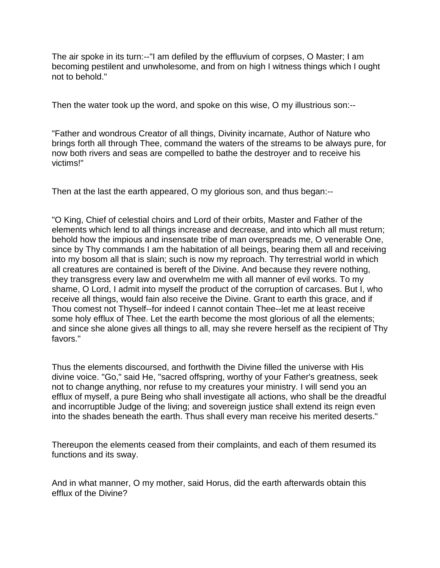The air spoke in its turn:--"I am defiled by the effluvium of corpses, O Master; I am becoming pestilent and unwholesome, and from on high I witness things which I ought not to behold."

Then the water took up the word, and spoke on this wise, O my illustrious son:--

"Father and wondrous Creator of all things, Divinity incarnate, Author of Nature who brings forth all through Thee, command the waters of the streams to be always pure, for now both rivers and seas are compelled to bathe the destroyer and to receive his victims!"

Then at the last the earth appeared, O my glorious son, and thus began:--

"O King, Chief of celestial choirs and Lord of their orbits, Master and Father of the elements which lend to all things increase and decrease, and into which all must return; behold how the impious and insensate tribe of man overspreads me, O venerable One, since by Thy commands I am the habitation of all beings, bearing them all and receiving into my bosom all that is slain; such is now my reproach. Thy terrestrial world in which all creatures are contained is bereft of the Divine. And because they revere nothing, they transgress every law and overwhelm me with all manner of evil works. To my shame, O Lord, I admit into myself the product of the corruption of carcases. But I, who receive all things, would fain also receive the Divine. Grant to earth this grace, and if Thou comest not Thyself--for indeed I cannot contain Thee--let me at least receive some holy efflux of Thee. Let the earth become the most glorious of all the elements; and since she alone gives all things to all, may she revere herself as the recipient of Thy favors."

Thus the elements discoursed, and forthwith the Divine filled the universe with His divine voice. "Go," said He, "sacred offspring, worthy of your Father's greatness, seek not to change anything, nor refuse to my creatures your ministry. I will send you an efflux of myself, a pure Being who shall investigate all actions, who shall be the dreadful and incorruptible Judge of the living; and sovereign justice shall extend its reign even into the shades beneath the earth. Thus shall every man receive his merited deserts."

Thereupon the elements ceased from their complaints, and each of them resumed its functions and its sway.

And in what manner, O my mother, said Horus, did the earth afterwards obtain this efflux of the Divine?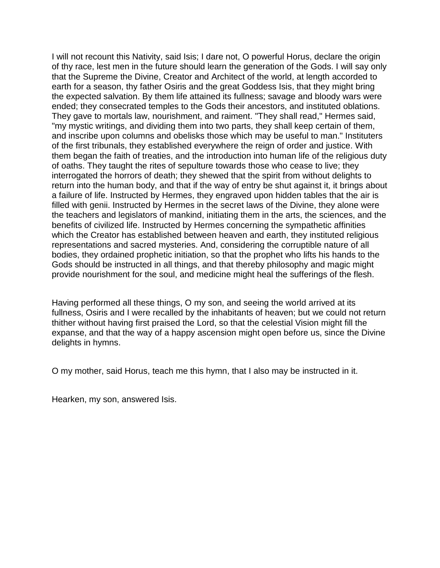I will not recount this Nativity, said Isis; I dare not, O powerful Horus, declare the origin of thy race, lest men in the future should learn the generation of the Gods. I will say only that the Supreme the Divine, Creator and Architect of the world, at length accorded to earth for a season, thy father Osiris and the great Goddess Isis, that they might bring the expected salvation. By them life attained its fullness; savage and bloody wars were ended; they consecrated temples to the Gods their ancestors, and instituted oblations. They gave to mortals law, nourishment, and raiment. "They shall read," Hermes said, "my mystic writings, and dividing them into two parts, they shall keep certain of them, and inscribe upon columns and obelisks those which may be useful to man." Instituters of the first tribunals, they established everywhere the reign of order and justice. With them began the faith of treaties, and the introduction into human life of the religious duty of oaths. They taught the rites of sepulture towards those who cease to live; they interrogated the horrors of death; they shewed that the spirit from without delights to return into the human body, and that if the way of entry be shut against it, it brings about a failure of life. Instructed by Hermes, they engraved upon hidden tables that the air is filled with genii. Instructed by Hermes in the secret laws of the Divine, they alone were the teachers and legislators of mankind, initiating them in the arts, the sciences, and the benefits of civilized life. Instructed by Hermes concerning the sympathetic affinities which the Creator has established between heaven and earth, they instituted religious representations and sacred mysteries. And, considering the corruptible nature of all bodies, they ordained prophetic initiation, so that the prophet who lifts his hands to the Gods should be instructed in all things, and that thereby philosophy and magic might provide nourishment for the soul, and medicine might heal the sufferings of the flesh.

Having performed all these things, O my son, and seeing the world arrived at its fullness, Osiris and I were recalled by the inhabitants of heaven; but we could not return thither without having first praised the Lord, so that the celestial Vision might fill the expanse, and that the way of a happy ascension might open before us, since the Divine delights in hymns.

O my mother, said Horus, teach me this hymn, that I also may be instructed in it.

Hearken, my son, answered Isis.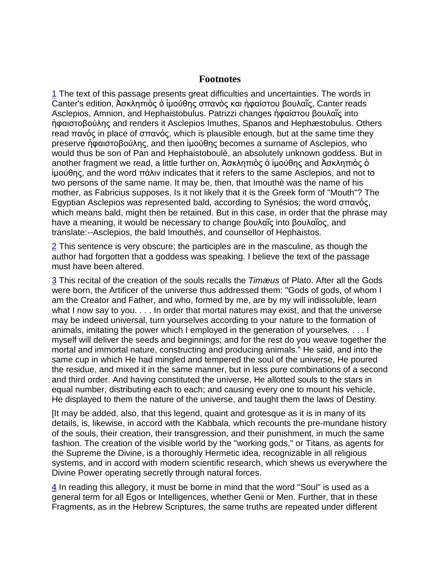# **Footnotes**

1 The text of this passage presents great difficulties and uncertainties. The words in Canter's edition, Ἀσκληπιὸς ὁ ἰμούθης σπανὸς και ἡφαίστου βουλαῖς, Canter reads Asclepios, Amnion, and Hephaistobulus. Patrizzi changes ήφαίστου βουλαΐς into ἡφαιστοβούλης and renders it Asclepios Imuthes, Spanos and Hephæstobulus. Others  $r$ ead πανός in place of σπανός, which is plausible enough, but at the same time they preserve ήφαιστοβούλης, and then *ι*μούθης becomes a surname of Asclepios, who would thus be son of Pan and Hephaistoboulè, an absolutely unknown goddess. But in another fragment we read, a little further on, Ἀσκληπιὸς ὁ ἰμούθης and Ἀσκληπιὸς ὁ ἰµούθης, and the word πάλιν indicates that it refers to the same Asclepios, and not to two persons of the same name. It may be, then, that Imouthè was the name of his mother, as Fabricius supposes. Is it not likely that it is the Greek form of "Mouth"? The Egyptian Asclepios was represented bald, according to Synésios; the word σπανός, which means bald, might then be retained. But in this case, in order that the phrase may have a meaning, it would be necessary to change βουλαΐς into βουλαΐος, and translate:--Asclepios, the bald Imouthès, and counsellor of Hephaistos.

2 This sentence is very obscure; the participles are in the masculine, as though the author had forgotten that a goddess was speaking. I believe the text of the passage must have been altered.

3 This recital of the creation of the souls recalls the Timæus of Plato. After all the Gods were born, the Artificer of the universe thus addressed them: "Gods of gods, of whom I am the Creator and Father, and who, formed by me, are by my will indissoluble, learn what I now say to you. . . . In order that mortal natures may exist, and that the universe may be indeed universal, turn yourselves according to your nature to the formation of animals, imitating the power which I employed in the generation of yourselves. . . . I myself will deliver the seeds and beginnings; and for the rest do you weave together the mortal and immortal nature, constructing and producing animals." He said, and into the same cup in which He had mingled and tempered the soul of the universe, He poured the residue, and mixed it in the same manner, but in less pure combinations of a second and third order. And having constituted the universe, He allotted souls to the stars in equal number, distributing each to each; and causing every one to mount his vehicle, He displayed to them the nature of the universe, and taught them the laws of Destiny.

[It may be added, also, that this legend, quaint and grotesque as it is in many of its details, is, likewise, in accord with the Kabbala, which recounts the pre-mundane history of the souls, their creation, their transgression, and their punishment, in much the same fashion. The creation of the visible world by the "working gods," or Titans, as agents for the Supreme the Divine, is a thoroughly Hermetic idea, recognizable in all religious systems, and in accord with modern scientific research, which shews us everywhere the Divine Power operating secretly through natural forces.

4 In reading this allegory, it must be borne in mind that the word "Soul" is used as a general term for all Egos or Intelligences, whether Genii or Men. Further, that in these Fragments, as in the Hebrew Scriptures, the same truths are repeated under different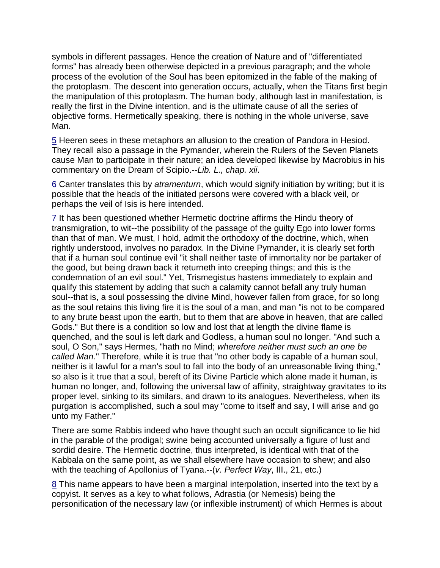symbols in different passages. Hence the creation of Nature and of "differentiated forms" has already been otherwise depicted in a previous paragraph; and the whole process of the evolution of the Soul has been epitomized in the fable of the making of the protoplasm. The descent into generation occurs, actually, when the Titans first begin the manipulation of this protoplasm. The human body, although last in manifestation, is really the first in the Divine intention, and is the ultimate cause of all the series of objective forms. Hermetically speaking, there is nothing in the whole universe, save Man.

5 Heeren sees in these metaphors an allusion to the creation of Pandora in Hesiod. They recall also a passage in the Pymander, wherein the Rulers of the Seven Planets cause Man to participate in their nature; an idea developed likewise by Macrobius in his commentary on the Dream of Scipio.--Lib. L., chap. xii.

 $6$  Canter translates this by atramenturn, which would signify initiation by writing; but it is possible that the heads of the initiated persons were covered with a black veil, or perhaps the veil of Isis is here intended.

7 It has been questioned whether Hermetic doctrine affirms the Hindu theory of transmigration, to wit--the possibility of the passage of the guilty Ego into lower forms than that of man. We must, I hold, admit the orthodoxy of the doctrine, which, when rightly understood, involves no paradox. In the Divine Pymander, it is clearly set forth that if a human soul continue evil "it shall neither taste of immortality nor be partaker of the good, but being drawn back it returneth into creeping things; and this is the condemnation of an evil soul." Yet, Trismegistus hastens immediately to explain and qualify this statement by adding that such a calamity cannot befall any truly human soul--that is, a soul possessing the divine Mind, however fallen from grace, for so long as the soul retains this living fire it is the soul of a man, and man "is not to be compared to any brute beast upon the earth, but to them that are above in heaven, that are called Gods." But there is a condition so low and lost that at length the divine flame is quenched, and the soul is left dark and Godless, a human soul no longer. "And such a soul, O Son," says Hermes, "hath no Mind; wherefore neither must such an one be called Man." Therefore, while it is true that "no other body is capable of a human soul, neither is it lawful for a man's soul to fall into the body of an unreasonable living thing," so also is it true that a soul, bereft of its Divine Particle which alone made it human, is human no longer, and, following the universal law of affinity, straightway gravitates to its proper level, sinking to its similars, and drawn to its analogues. Nevertheless, when its purgation is accomplished, such a soul may "come to itself and say, I will arise and go unto my Father."

There are some Rabbis indeed who have thought such an occult significance to lie hid in the parable of the prodigal; swine being accounted universally a figure of lust and sordid desire. The Hermetic doctrine, thus interpreted, is identical with that of the Kabbala on the same point, as we shall elsewhere have occasion to shew; and also with the teaching of Apollonius of Tyana.--(v. Perfect Way, III., 21, etc.)

8 This name appears to have been a marginal interpolation, inserted into the text by a copyist. It serves as a key to what follows, Adrastia (or Nemesis) being the personification of the necessary law (or inflexible instrument) of which Hermes is about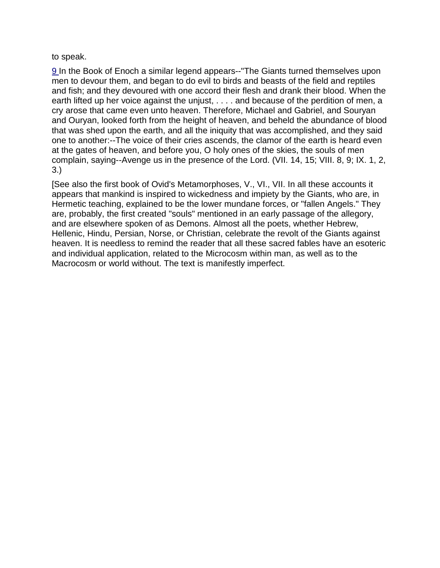# to speak.

9 In the Book of Enoch a similar legend appears--"The Giants turned themselves upon men to devour them, and began to do evil to birds and beasts of the field and reptiles and fish; and they devoured with one accord their flesh and drank their blood. When the earth lifted up her voice against the unjust, ... and because of the perdition of men, a cry arose that came even unto heaven. Therefore, Michael and Gabriel, and Souryan and Ouryan, looked forth from the height of heaven, and beheld the abundance of blood that was shed upon the earth, and all the iniquity that was accomplished, and they said one to another:--The voice of their cries ascends, the clamor of the earth is heard even at the gates of heaven, and before you, O holy ones of the skies, the souls of men complain, saying--Avenge us in the presence of the Lord. (VII. 14, 15; VIII. 8, 9; IX. 1, 2, 3.)

[See also the first book of Ovid's Metamorphoses, V., VI., VII. In all these accounts it appears that mankind is inspired to wickedness and impiety by the Giants, who are, in Hermetic teaching, explained to be the lower mundane forces, or "fallen Angels." They are, probably, the first created "souls" mentioned in an early passage of the allegory, and are elsewhere spoken of as Demons. Almost all the poets, whether Hebrew, Hellenic, Hindu, Persian, Norse, or Christian, celebrate the revolt of the Giants against heaven. It is needless to remind the reader that all these sacred fables have an esoteric and individual application, related to the Microcosm within man, as well as to the Macrocosm or world without. The text is manifestly imperfect.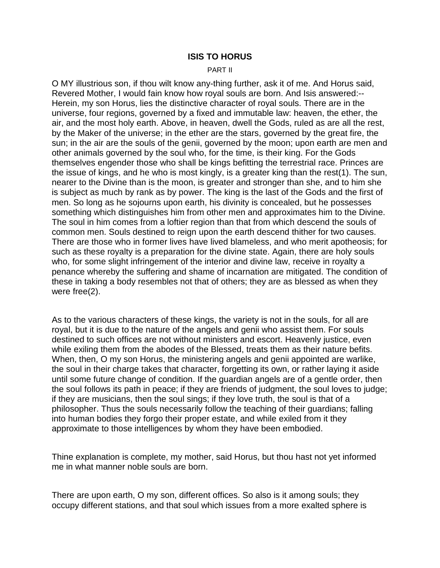### **ISIS TO HORUS**

#### PART II

O MY illustrious son, if thou wilt know any-thing further, ask it of me. And Horus said, Revered Mother, I would fain know how royal souls are born. And Isis answered:-- Herein, my son Horus, lies the distinctive character of royal souls. There are in the universe, four regions, governed by a fixed and immutable law: heaven, the ether, the air, and the most holy earth. Above, in heaven, dwell the Gods, ruled as are all the rest, by the Maker of the universe; in the ether are the stars, governed by the great fire, the sun; in the air are the souls of the genii, governed by the moon; upon earth are men and other animals governed by the soul who, for the time, is their king. For the Gods themselves engender those who shall be kings befitting the terrestrial race. Princes are the issue of kings, and he who is most kingly, is a greater king than the rest(1). The sun, nearer to the Divine than is the moon, is greater and stronger than she, and to him she is subject as much by rank as by power. The king is the last of the Gods and the first of men. So long as he sojourns upon earth, his divinity is concealed, but he possesses something which distinguishes him from other men and approximates him to the Divine. The soul in him comes from a loftier region than that from which descend the souls of common men. Souls destined to reign upon the earth descend thither for two causes. There are those who in former lives have lived blameless, and who merit apotheosis; for such as these royalty is a preparation for the divine state. Again, there are holy souls who, for some slight infringement of the interior and divine law, receive in royalty a penance whereby the suffering and shame of incarnation are mitigated. The condition of these in taking a body resembles not that of others; they are as blessed as when they were free(2).

As to the various characters of these kings, the variety is not in the souls, for all are royal, but it is due to the nature of the angels and genii who assist them. For souls destined to such offices are not without ministers and escort. Heavenly justice, even while exiling them from the abodes of the Blessed, treats them as their nature befits. When, then, O my son Horus, the ministering angels and genii appointed are warlike, the soul in their charge takes that character, forgetting its own, or rather laying it aside until some future change of condition. If the guardian angels are of a gentle order, then the soul follows its path in peace; if they are friends of judgment, the soul loves to judge; if they are musicians, then the soul sings; if they love truth, the soul is that of a philosopher. Thus the souls necessarily follow the teaching of their guardians; falling into human bodies they forgo their proper estate, and while exiled from it they approximate to those intelligences by whom they have been embodied.

Thine explanation is complete, my mother, said Horus, but thou hast not yet informed me in what manner noble souls are born.

There are upon earth, O my son, different offices. So also is it among souls; they occupy different stations, and that soul which issues from a more exalted sphere is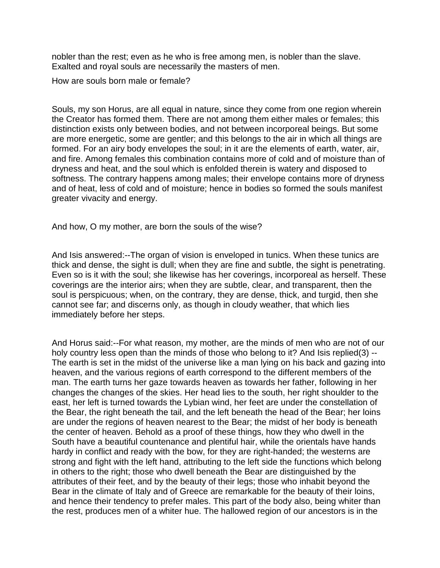nobler than the rest; even as he who is free among men, is nobler than the slave. Exalted and royal souls are necessarily the masters of men.

How are souls born male or female?

Souls, my son Horus, are all equal in nature, since they come from one region wherein the Creator has formed them. There are not among them either males or females; this distinction exists only between bodies, and not between incorporeal beings. But some are more energetic, some are gentler; and this belongs to the air in which all things are formed. For an airy body envelopes the soul; in it are the elements of earth, water, air, and fire. Among females this combination contains more of cold and of moisture than of dryness and heat, and the soul which is enfolded therein is watery and disposed to softness. The contrary happens among males; their envelope contains more of dryness and of heat, less of cold and of moisture; hence in bodies so formed the souls manifest greater vivacity and energy.

And how, O my mother, are born the souls of the wise?

And Isis answered:--The organ of vision is enveloped in tunics. When these tunics are thick and dense, the sight is dull; when they are fine and subtle, the sight is penetrating. Even so is it with the soul; she likewise has her coverings, incorporeal as herself. These coverings are the interior airs; when they are subtle, clear, and transparent, then the soul is perspicuous; when, on the contrary, they are dense, thick, and turgid, then she cannot see far; and discerns only, as though in cloudy weather, that which lies immediately before her steps.

And Horus said:--For what reason, my mother, are the minds of men who are not of our holy country less open than the minds of those who belong to it? And Isis replied(3) -- The earth is set in the midst of the universe like a man lying on his back and gazing into heaven, and the various regions of earth correspond to the different members of the man. The earth turns her gaze towards heaven as towards her father, following in her changes the changes of the skies. Her head lies to the south, her right shoulder to the east, her left is turned towards the Lybian wind, her feet are under the constellation of the Bear, the right beneath the tail, and the left beneath the head of the Bear; her loins are under the regions of heaven nearest to the Bear; the midst of her body is beneath the center of heaven. Behold as a proof of these things, how they who dwell in the South have a beautiful countenance and plentiful hair, while the orientals have hands hardy in conflict and ready with the bow, for they are right-handed; the westerns are strong and fight with the left hand, attributing to the left side the functions which belong in others to the right; those who dwell beneath the Bear are distinguished by the attributes of their feet, and by the beauty of their legs; those who inhabit beyond the Bear in the climate of Italy and of Greece are remarkable for the beauty of their loins, and hence their tendency to prefer males. This part of the body also, being whiter than the rest, produces men of a whiter hue. The hallowed region of our ancestors is in the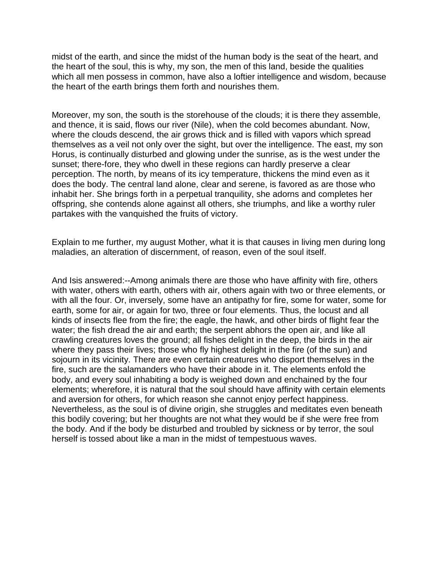midst of the earth, and since the midst of the human body is the seat of the heart, and the heart of the soul, this is why, my son, the men of this land, beside the qualities which all men possess in common, have also a loftier intelligence and wisdom, because the heart of the earth brings them forth and nourishes them.

Moreover, my son, the south is the storehouse of the clouds; it is there they assemble, and thence, it is said, flows our river (Nile), when the cold becomes abundant. Now, where the clouds descend, the air grows thick and is filled with vapors which spread themselves as a veil not only over the sight, but over the intelligence. The east, my son Horus, is continually disturbed and glowing under the sunrise, as is the west under the sunset; there-fore, they who dwell in these regions can hardly preserve a clear perception. The north, by means of its icy temperature, thickens the mind even as it does the body. The central land alone, clear and serene, is favored as are those who inhabit her. She brings forth in a perpetual tranquility, she adorns and completes her offspring, she contends alone against all others, she triumphs, and like a worthy ruler partakes with the vanquished the fruits of victory.

Explain to me further, my august Mother, what it is that causes in living men during long maladies, an alteration of discernment, of reason, even of the soul itself.

And Isis answered:--Among animals there are those who have affinity with fire, others with water, others with earth, others with air, others again with two or three elements, or with all the four. Or, inversely, some have an antipathy for fire, some for water, some for earth, some for air, or again for two, three or four elements. Thus, the locust and all kinds of insects flee from the fire; the eagle, the hawk, and other birds of flight fear the water; the fish dread the air and earth; the serpent abhors the open air, and like all crawling creatures loves the ground; all fishes delight in the deep, the birds in the air where they pass their lives; those who fly highest delight in the fire (of the sun) and sojourn in its vicinity. There are even certain creatures who disport themselves in the fire, such are the salamanders who have their abode in it. The elements enfold the body, and every soul inhabiting a body is weighed down and enchained by the four elements; wherefore, it is natural that the soul should have affinity with certain elements and aversion for others, for which reason she cannot enjoy perfect happiness. Nevertheless, as the soul is of divine origin, she struggles and meditates even beneath this bodily covering; but her thoughts are not what they would be if she were free from the body. And if the body be disturbed and troubled by sickness or by terror, the soul herself is tossed about like a man in the midst of tempestuous waves.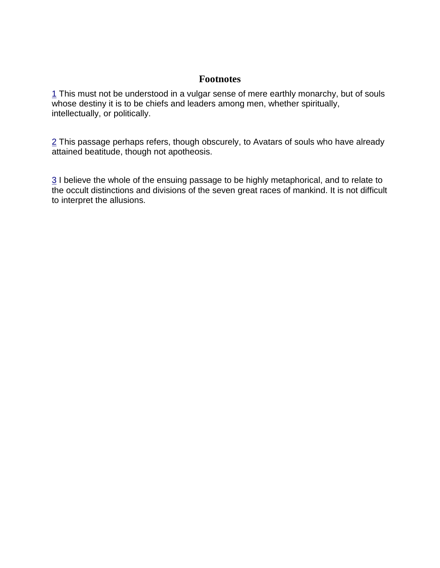# **Footnotes**

1 This must not be understood in a vulgar sense of mere earthly monarchy, but of souls whose destiny it is to be chiefs and leaders among men, whether spiritually, intellectually, or politically.

2 This passage perhaps refers, though obscurely, to Avatars of souls who have already attained beatitude, though not apotheosis.

3 I believe the whole of the ensuing passage to be highly metaphorical, and to relate to the occult distinctions and divisions of the seven great races of mankind. It is not difficult to interpret the allusions.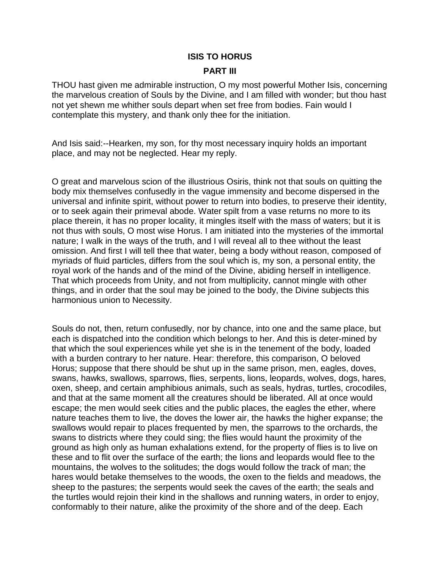# **ISIS TO HORUS**

# **PART III**

THOU hast given me admirable instruction, O my most powerful Mother Isis, concerning the marvelous creation of Souls by the Divine, and I am filled with wonder; but thou hast not yet shewn me whither souls depart when set free from bodies. Fain would I contemplate this mystery, and thank only thee for the initiation.

And Isis said:--Hearken, my son, for thy most necessary inquiry holds an important place, and may not be neglected. Hear my reply.

O great and marvelous scion of the illustrious Osiris, think not that souls on quitting the body mix themselves confusedly in the vague immensity and become dispersed in the universal and infinite spirit, without power to return into bodies, to preserve their identity, or to seek again their primeval abode. Water spilt from a vase returns no more to its place therein, it has no proper locality, it mingles itself with the mass of waters; but it is not thus with souls, O most wise Horus. I am initiated into the mysteries of the immortal nature; I walk in the ways of the truth, and I will reveal all to thee without the least omission. And first I will tell thee that water, being a body without reason, composed of myriads of fluid particles, differs from the soul which is, my son, a personal entity, the royal work of the hands and of the mind of the Divine, abiding herself in intelligence. That which proceeds from Unity, and not from multiplicity, cannot mingle with other things, and in order that the soul may be joined to the body, the Divine subjects this harmonious union to Necessity.

Souls do not, then, return confusedly, nor by chance, into one and the same place, but each is dispatched into the condition which belongs to her. And this is deter-mined by that which the soul experiences while yet she is in the tenement of the body, loaded with a burden contrary to her nature. Hear: therefore, this comparison, O beloved Horus; suppose that there should be shut up in the same prison, men, eagles, doves, swans, hawks, swallows, sparrows, flies, serpents, lions, leopards, wolves, dogs, hares, oxen, sheep, and certain amphibious animals, such as seals, hydras, turtles, crocodiles, and that at the same moment all the creatures should be liberated. All at once would escape; the men would seek cities and the public places, the eagles the ether, where nature teaches them to live, the doves the lower air, the hawks the higher expanse; the swallows would repair to places frequented by men, the sparrows to the orchards, the swans to districts where they could sing; the flies would haunt the proximity of the ground as high only as human exhalations extend, for the property of flies is to live on these and to flit over the surface of the earth; the lions and leopards would flee to the mountains, the wolves to the solitudes; the dogs would follow the track of man; the hares would betake themselves to the woods, the oxen to the fields and meadows, the sheep to the pastures; the serpents would seek the caves of the earth; the seals and the turtles would rejoin their kind in the shallows and running waters, in order to enjoy, conformably to their nature, alike the proximity of the shore and of the deep. Each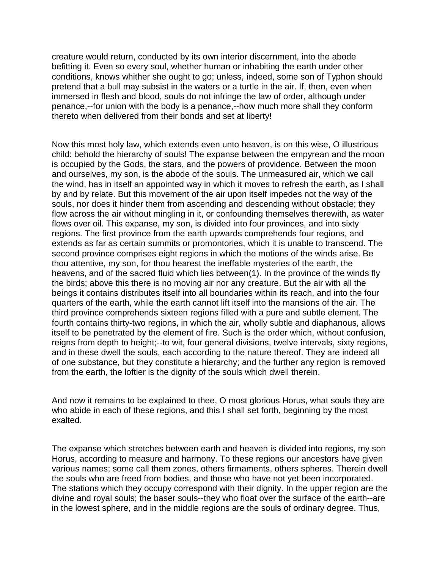creature would return, conducted by its own interior discernment, into the abode befitting it. Even so every soul, whether human or inhabiting the earth under other conditions, knows whither she ought to go; unless, indeed, some son of Typhon should pretend that a bull may subsist in the waters or a turtle in the air. If, then, even when immersed in flesh and blood, souls do not infringe the law of order, although under penance,--for union with the body is a penance,--how much more shall they conform thereto when delivered from their bonds and set at liberty!

Now this most holy law, which extends even unto heaven, is on this wise, O illustrious child: behold the hierarchy of souls! The expanse between the empyrean and the moon is occupied by the Gods, the stars, and the powers of providence. Between the moon and ourselves, my son, is the abode of the souls. The unmeasured air, which we call the wind, has in itself an appointed way in which it moves to refresh the earth, as I shall by and by relate. But this movement of the air upon itself impedes not the way of the souls, nor does it hinder them from ascending and descending without obstacle; they flow across the air without mingling in it, or confounding themselves therewith, as water flows over oil. This expanse, my son, is divided into four provinces, and into sixty regions. The first province from the earth upwards comprehends four regions, and extends as far as certain summits or promontories, which it is unable to transcend. The second province comprises eight regions in which the motions of the winds arise. Be thou attentive, my son, for thou hearest the ineffable mysteries of the earth, the heavens, and of the sacred fluid which lies between(1). In the province of the winds fly the birds; above this there is no moving air nor any creature. But the air with all the beings it contains distributes itself into all boundaries within its reach, and into the four quarters of the earth, while the earth cannot lift itself into the mansions of the air. The third province comprehends sixteen regions filled with a pure and subtle element. The fourth contains thirty-two regions, in which the air, wholly subtle and diaphanous, allows itself to be penetrated by the element of fire. Such is the order which, without confusion, reigns from depth to height;--to wit, four general divisions, twelve intervals, sixty regions, and in these dwell the souls, each according to the nature thereof. They are indeed all of one substance, but they constitute a hierarchy; and the further any region is removed from the earth, the loftier is the dignity of the souls which dwell therein.

And now it remains to be explained to thee, O most glorious Horus, what souls they are who abide in each of these regions, and this I shall set forth, beginning by the most exalted.

The expanse which stretches between earth and heaven is divided into regions, my son Horus, according to measure and harmony. To these regions our ancestors have given various names; some call them zones, others firmaments, others spheres. Therein dwell the souls who are freed from bodies, and those who have not yet been incorporated. The stations which they occupy correspond with their dignity. In the upper region are the divine and royal souls; the baser souls--they who float over the surface of the earth--are in the lowest sphere, and in the middle regions are the souls of ordinary degree. Thus,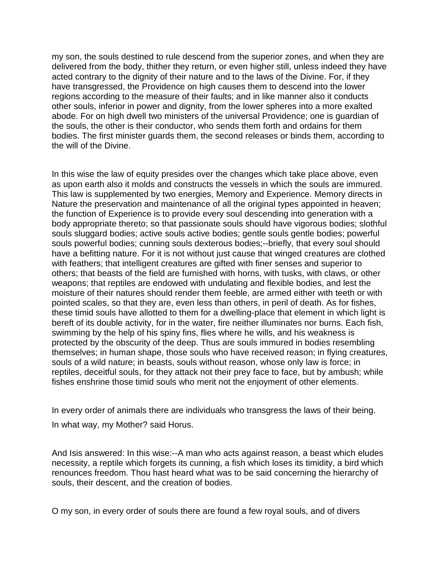my son, the souls destined to rule descend from the superior zones, and when they are delivered from the body, thither they return, or even higher still, unless indeed they have acted contrary to the dignity of their nature and to the laws of the Divine. For, if they have transgressed, the Providence on high causes them to descend into the lower regions according to the measure of their faults; and in like manner also it conducts other souls, inferior in power and dignity, from the lower spheres into a more exalted abode. For on high dwell two ministers of the universal Providence; one is guardian of the souls, the other is their conductor, who sends them forth and ordains for them bodies. The first minister guards them, the second releases or binds them, according to the will of the Divine.

In this wise the law of equity presides over the changes which take place above, even as upon earth also it molds and constructs the vessels in which the souls are immured. This law is supplemented by two energies, Memory and Experience. Memory directs in Nature the preservation and maintenance of all the original types appointed in heaven; the function of Experience is to provide every soul descending into generation with a body appropriate thereto; so that passionate souls should have vigorous bodies; slothful souls sluggard bodies; active souls active bodies; gentle souls gentle bodies; powerful souls powerful bodies; cunning souls dexterous bodies;--briefly, that every soul should have a befitting nature. For it is not without just cause that winged creatures are clothed with feathers; that intelligent creatures are gifted with finer senses and superior to others; that beasts of the field are furnished with horns, with tusks, with claws, or other weapons; that reptiles are endowed with undulating and flexible bodies, and lest the moisture of their natures should render them feeble, are armed either with teeth or with pointed scales, so that they are, even less than others, in peril of death. As for fishes, these timid souls have allotted to them for a dwelling-place that element in which light is bereft of its double activity, for in the water, fire neither illuminates nor burns. Each fish, swimming by the help of his spiny fins, flies where he wills, and his weakness is protected by the obscurity of the deep. Thus are souls immured in bodies resembling themselves; in human shape, those souls who have received reason; in flying creatures, souls of a wild nature; in beasts, souls without reason, whose only law is force; in reptiles, deceitful souls, for they attack not their prey face to face, but by ambush; while fishes enshrine those timid souls who merit not the enjoyment of other elements.

In every order of animals there are individuals who transgress the laws of their being. In what way, my Mother? said Horus.

And Isis answered: In this wise:--A man who acts against reason, a beast which eludes necessity, a reptile which forgets its cunning, a fish which loses its timidity, a bird which renounces freedom. Thou hast heard what was to be said concerning the hierarchy of souls, their descent, and the creation of bodies.

O my son, in every order of souls there are found a few royal souls, and of divers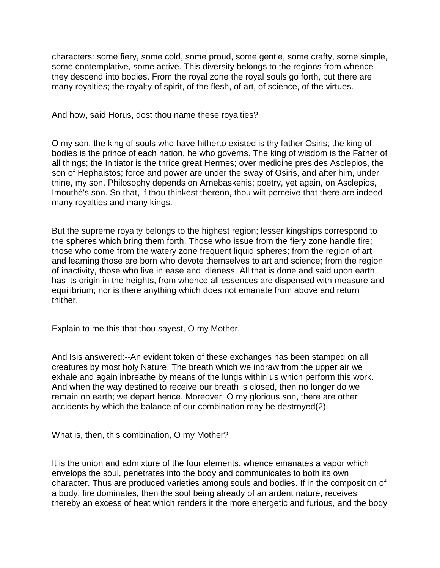characters: some fiery, some cold, some proud, some gentle, some crafty, some simple, some contemplative, some active. This diversity belongs to the regions from whence they descend into bodies. From the royal zone the royal souls go forth, but there are many royalties; the royalty of spirit, of the flesh, of art, of science, of the virtues.

And how, said Horus, dost thou name these royalties?

O my son, the king of souls who have hitherto existed is thy father Osiris; the king of bodies is the prince of each nation, he who governs. The king of wisdom is the Father of all things; the Initiator is the thrice great Hermes; over medicine presides Asclepios, the son of Hephaistos; force and power are under the sway of Osiris, and after him, under thine, my son. Philosophy depends on Arnebaskenis; poetry, yet again, on Asclepios, Imouthè's son. So that, if thou thinkest thereon, thou wilt perceive that there are indeed many royalties and many kings.

But the supreme royalty belongs to the highest region; lesser kingships correspond to the spheres which bring them forth. Those who issue from the fiery zone handle fire; those who come from the watery zone frequent liquid spheres; from the region of art and learning those are born who devote themselves to art and science; from the region of inactivity, those who live in ease and idleness. All that is done and said upon earth has its origin in the heights, from whence all essences are dispensed with measure and equilibrium; nor is there anything which does not emanate from above and return thither.

Explain to me this that thou sayest, O my Mother.

And Isis answered:--An evident token of these exchanges has been stamped on all creatures by most holy Nature. The breath which we indraw from the upper air we exhale and again inbreathe by means of the lungs within us which perform this work. And when the way destined to receive our breath is closed, then no longer do we remain on earth; we depart hence. Moreover, O my glorious son, there are other accidents by which the balance of our combination may be destroyed(2).

What is, then, this combination, O my Mother?

It is the union and admixture of the four elements, whence emanates a vapor which envelops the soul, penetrates into the body and communicates to both its own character. Thus are produced varieties among souls and bodies. If in the composition of a body, fire dominates, then the soul being already of an ardent nature, receives thereby an excess of heat which renders it the more energetic and furious, and the body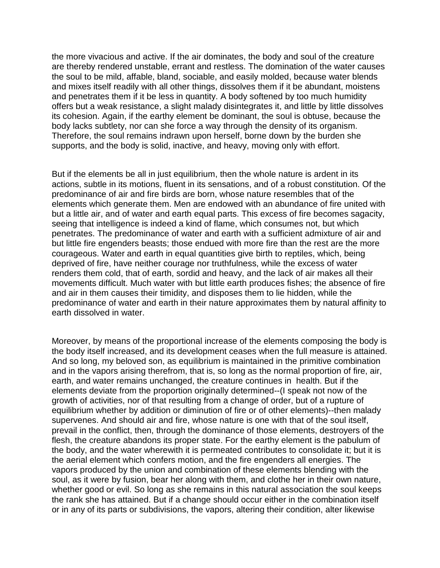the more vivacious and active. If the air dominates, the body and soul of the creature are thereby rendered unstable, errant and restless. The domination of the water causes the soul to be mild, affable, bland, sociable, and easily molded, because water blends and mixes itself readily with all other things, dissolves them if it be abundant, moistens and penetrates them if it be less in quantity. A body softened by too much humidity offers but a weak resistance, a slight malady disintegrates it, and little by little dissolves its cohesion. Again, if the earthy element be dominant, the soul is obtuse, because the body lacks subtlety, nor can she force a way through the density of its organism. Therefore, the soul remains indrawn upon herself, borne down by the burden she supports, and the body is solid, inactive, and heavy, moving only with effort.

But if the elements be all in just equilibrium, then the whole nature is ardent in its actions, subtle in its motions, fluent in its sensations, and of a robust constitution. Of the predominance of air and fire birds are born, whose nature resembles that of the elements which generate them. Men are endowed with an abundance of fire united with but a little air, and of water and earth equal parts. This excess of fire becomes sagacity, seeing that intelligence is indeed a kind of flame, which consumes not, but which penetrates. The predominance of water and earth with a sufficient admixture of air and but little fire engenders beasts; those endued with more fire than the rest are the more courageous. Water and earth in equal quantities give birth to reptiles, which, being deprived of fire, have neither courage nor truthfulness, while the excess of water renders them cold, that of earth, sordid and heavy, and the lack of air makes all their movements difficult. Much water with but little earth produces fishes; the absence of fire and air in them causes their timidity, and disposes them to lie hidden, while the predominance of water and earth in their nature approximates them by natural affinity to earth dissolved in water.

Moreover, by means of the proportional increase of the elements composing the body is the body itself increased, and its development ceases when the full measure is attained. And so long, my beloved son, as equilibrium is maintained in the primitive combination and in the vapors arising therefrom, that is, so long as the normal proportion of fire, air, earth, and water remains unchanged, the creature continues in health. But if the elements deviate from the proportion originally determined--(I speak not now of the growth of activities, nor of that resulting from a change of order, but of a rupture of equilibrium whether by addition or diminution of fire or of other elements)--then malady supervenes. And should air and fire, whose nature is one with that of the soul itself, prevail in the conflict, then, through the dominance of those elements, destroyers of the flesh, the creature abandons its proper state. For the earthy element is the pabulum of the body, and the water wherewith it is permeated contributes to consolidate it; but it is the aerial element which confers motion, and the fire engenders all energies. The vapors produced by the union and combination of these elements blending with the soul, as it were by fusion, bear her along with them, and clothe her in their own nature, whether good or evil. So long as she remains in this natural association the soul keeps the rank she has attained. But if a change should occur either in the combination itself or in any of its parts or subdivisions, the vapors, altering their condition, alter likewise